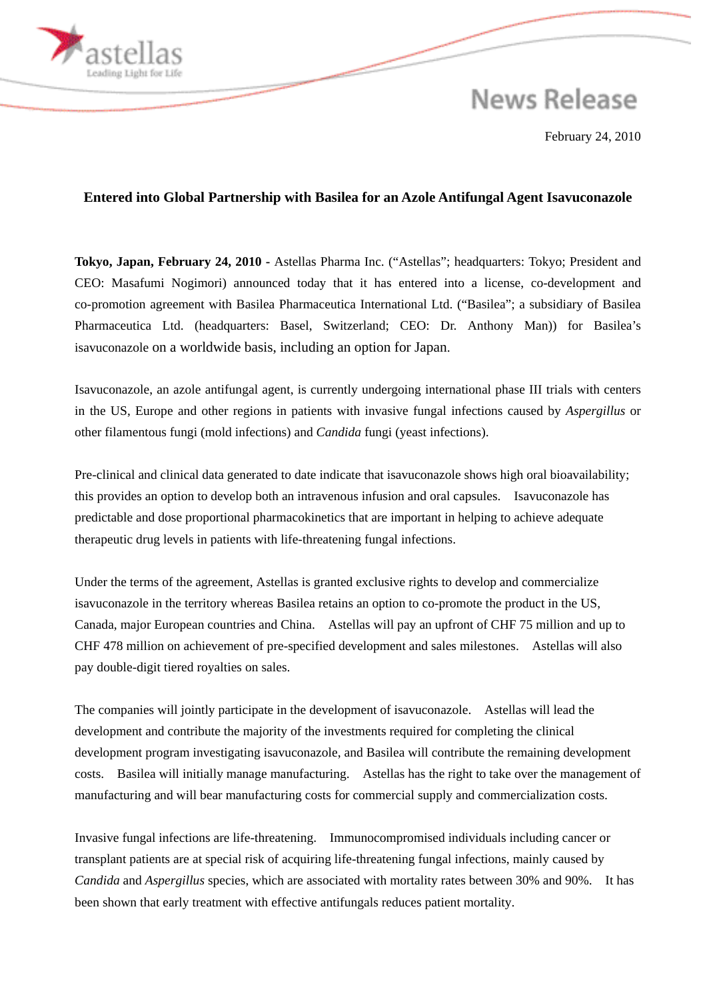## **News Release**

February 24, 2010

## **Entered into Global Partnership with Basilea for an Azole Antifungal Agent Isavuconazole**

**Tokyo, Japan, February 24, 2010 -** Astellas Pharma Inc. ("Astellas"; headquarters: Tokyo; President and CEO: Masafumi Nogimori) announced today that it has entered into a license, co-development and co-promotion agreement with Basilea Pharmaceutica International Ltd. ("Basilea"; a subsidiary of Basilea Pharmaceutica Ltd. (headquarters: Basel, Switzerland; CEO: Dr. Anthony Man)) for Basilea's isavuconazole on a worldwide basis, including an option for Japan.

Isavuconazole, an azole antifungal agent, is currently undergoing international phase III trials with centers in the US, Europe and other regions in patients with invasive fungal infections caused by *Aspergillus* or other filamentous fungi (mold infections) and *Candida* fungi (yeast infections).

Pre-clinical and clinical data generated to date indicate that isavuconazole shows high oral bioavailability; this provides an option to develop both an intravenous infusion and oral capsules. Isavuconazole has predictable and dose proportional pharmacokinetics that are important in helping to achieve adequate therapeutic drug levels in patients with life-threatening fungal infections.

Under the terms of the agreement, Astellas is granted exclusive rights to develop and commercialize isavuconazole in the territory whereas Basilea retains an option to co-promote the product in the US, Canada, major European countries and China. Astellas will pay an upfront of CHF 75 million and up to CHF 478 million on achievement of pre-specified development and sales milestones. Astellas will also pay double-digit tiered royalties on sales.

The companies will jointly participate in the development of isavuconazole. Astellas will lead the development and contribute the majority of the investments required for completing the clinical development program investigating isavuconazole, and Basilea will contribute the remaining development costs. Basilea will initially manage manufacturing. Astellas has the right to take over the management of manufacturing and will bear manufacturing costs for commercial supply and commercialization costs.

Invasive fungal infections are life-threatening. Immunocompromised individuals including cancer or transplant patients are at special risk of acquiring life-threatening fungal infections, mainly caused by *Candida* and *Aspergillus* species, which are associated with mortality rates between 30% and 90%. It has been shown that early treatment with effective antifungals reduces patient mortality.